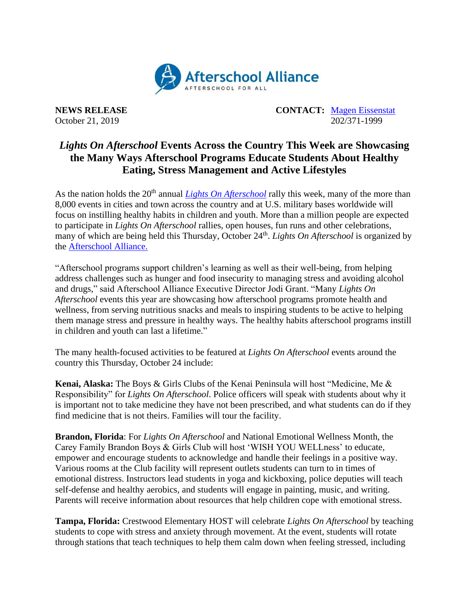

**NEWS RELEASE CONTACT:** [Magen Eissenstat](mailto:magen@prsolutionsdc.com) October 21, 2019 202/371-1999

## *Lights On Afterschool* **Events Across the Country This Week are Showcasing the Many Ways Afterschool Programs Educate Students About Healthy Eating, Stress Management and Active Lifestyles**

As the nation holds the 20<sup>th</sup> annual *[Lights On Afterschool](http://www.afterschoolalliance.org/loa.cfm)* rally this week, many of the more than 8,000 events in cities and town across the country and at U.S. military bases worldwide will focus on instilling healthy habits in children and youth. More than a million people are expected to participate in *Lights On Afterschool* rallies, open houses, fun runs and other celebrations, many of which are being held this Thursday, October 24<sup>th</sup>. Lights On Afterschool is organized by the [Afterschool Alliance.](http://www.afterschoolalliance.org/)

"Afterschool programs support children's learning as well as their well-being, from helping address challenges such as hunger and food insecurity to managing stress and avoiding alcohol and drugs," said Afterschool Alliance Executive Director Jodi Grant. "Many *Lights On Afterschool* events this year are showcasing how afterschool programs promote health and wellness, from serving nutritious snacks and meals to inspiring students to be active to helping them manage stress and pressure in healthy ways. The healthy habits afterschool programs instill in children and youth can last a lifetime."

The many health-focused activities to be featured at *Lights On Afterschool* events around the country this Thursday, October 24 include:

**Kenai, Alaska:** The Boys & Girls Clubs of the Kenai Peninsula will host "Medicine, Me & Responsibility" for *Lights On Afterschool*. Police officers will speak with students about why it is important not to take medicine they have not been prescribed, and what students can do if they find medicine that is not theirs. Families will tour the facility.

**Brandon, Florida**: For *Lights On Afterschool* and National Emotional Wellness Month, the Carey Family Brandon Boys & Girls Club will host 'WISH YOU WELLness' to educate, empower and encourage students to acknowledge and handle their feelings in a positive way. Various rooms at the Club facility will represent outlets students can turn to in times of emotional distress. Instructors lead students in yoga and kickboxing, police deputies will teach self-defense and healthy aerobics, and students will engage in painting, music, and writing. Parents will receive information about resources that help children cope with emotional stress.

**Tampa, Florida:** Crestwood Elementary HOST will celebrate *Lights On Afterschool* by teaching students to cope with stress and anxiety through movement. At the event, students will rotate through stations that teach techniques to help them calm down when feeling stressed, including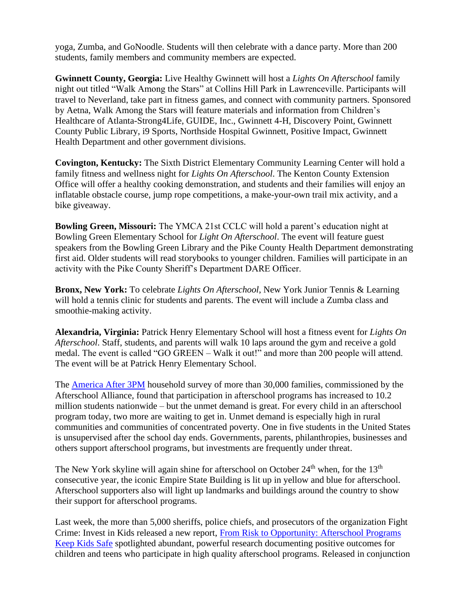yoga, Zumba, and GoNoodle. Students will then celebrate with a dance party. More than 200 students, family members and community members are expected.

**Gwinnett County, Georgia:** Live Healthy Gwinnett will host a *Lights On Afterschool* family night out titled "Walk Among the Stars" at Collins Hill Park in Lawrenceville. Participants will travel to Neverland, take part in fitness games, and connect with community partners. Sponsored by Aetna, Walk Among the Stars will feature materials and information from Children's Healthcare of Atlanta-Strong4Life, GUIDE, Inc., Gwinnett 4-H, Discovery Point, Gwinnett County Public Library, i9 Sports, Northside Hospital Gwinnett, Positive Impact, Gwinnett Health Department and other government divisions.

**Covington, Kentucky:** The Sixth District Elementary Community Learning Center will hold a family fitness and wellness night for *Lights On Afterschool*. The Kenton County Extension Office will offer a healthy cooking demonstration, and students and their families will enjoy an inflatable obstacle course, jump rope competitions, a make-your-own trail mix activity, and a bike giveaway.

**Bowling Green, Missouri:** The YMCA 21st CCLC will hold a parent's education night at Bowling Green Elementary School for *Light On Afterschool*. The event will feature guest speakers from the Bowling Green Library and the Pike County Health Department demonstrating first aid. Older students will read storybooks to younger children. Families will participate in an activity with the Pike County Sheriff's Department DARE Officer.

**Bronx, New York:** To celebrate *Lights On Afterschool*, New York Junior Tennis & Learning will hold a tennis clinic for students and parents. The event will include a Zumba class and smoothie-making activity.

**Alexandria, Virginia:** Patrick Henry Elementary School will host a fitness event for *Lights On Afterschool*. Staff, students, and parents will walk 10 laps around the gym and receive a gold medal. The event is called "GO GREEN – Walk it out!" and more than 200 people will attend. The event will be at Patrick Henry Elementary School.

The [America After 3PM](http://www.afterschoolalliance.org/AA3PM/) household survey of more than 30,000 families, commissioned by the Afterschool Alliance, found that participation in afterschool programs has increased to 10.2 million students nationwide – but the unmet demand is great. For every child in an afterschool program today, two more are waiting to get in. Unmet demand is especially high in rural communities and communities of concentrated poverty. One in five students in the United States is unsupervised after the school day ends. Governments, parents, philanthropies, businesses and others support afterschool programs, but investments are frequently under threat.

The New York skyline will again shine for afterschool on October 24<sup>th</sup> when, for the 13<sup>th</sup> consecutive year, the iconic Empire State Building is lit up in yellow and blue for afterschool. Afterschool supporters also will light up landmarks and buildings around the country to show their support for afterschool programs.

Last week, the more than 5,000 sheriffs, police chiefs, and prosecutors of the organization Fight Crime: Invest in Kids released a new report, [From Risk to Opportunity: Afterschool Programs](https://www.strongnation.org/articles/930-from-risk-to-opportunity-afterschool-programs-keep-kids-safe)  [Keep Kids Safe](https://www.strongnation.org/articles/930-from-risk-to-opportunity-afterschool-programs-keep-kids-safe) spotlighted abundant, powerful research documenting positive outcomes for children and teens who participate in high quality afterschool programs. Released in conjunction